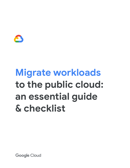

# **Migrate workloads to the public cloud: an essential guide & checklist**

Google Cloud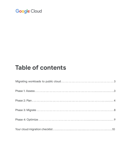# **Table of contents**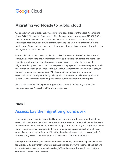### <span id="page-2-0"></span>**Migrating workloads to public cloud**

Cloud adoption and migrations have continued to accelerate over the years. According to Flexera's 2021 State of the Cloud report, 31% of respondents spend at least \$12,000,000 per year on public cloud, which is up from 16% in the same survey in 2020. Additionally, enterprises already run about 47% of their workloads and store 44% of their data in the public cloud. Organizations have come a long way, but we still have at least half way to go to full migration to the public cloud.

As the public cloud becomes a multi-billion dollar business and the IaaS market share of computing continues to grow, enterprises leverage the public cloud more and more each year. But even though self-provisioning of new workloads in public clouds is simple, migrating existing services to the cloud requires more preparation. A common perception is that migrating existing workloads to the public cloud, especially those with a lot of data, is complex, time consuming and risky. With the right planning, however, enterprise IT organizations can rapidly establish good migration practices to accelerate migrations and lower risk. Plus, migration technology is evolving quickly to support the enterprise.

Read on for essential tips to guide IT organizations through the four key parts of the migration process: Assess, Plan, Migrate, and Optimize.

#### <span id="page-2-1"></span>**Phase 1**

#### **Assess: Lay the migration groundwork**

First, identify your migration team. It is likely you'll be working with other members of your organization, so determine who those stakeholders are now and what their respective levels of involvement will be. For example, involving people from the security and application teams early in the process can help you identify and remediate or bypass issues that might have otherwise occurred mid-migration. Educating these key players about your organization's cloud strategy will help teams identify their roles in the overall migration effort.

Once you've figured out your team of internal stakeholders, identify the applications slated for migration. It's likely that your enterprise has hundreds or even thousands of applications to migrate to the cloud, so where do you begin? Start by determining which applications should be moved to the cloud first.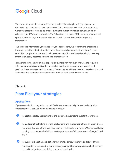There are many variables that will impact priorities, including identifying application dependencies, cloud-readiness, application SLAs, physical or virtual infrastructure, etc. Other variables that will also be crucial during the migration include server names, IP addresses, # of VMs per application, VM OS and service pack, CPU, memory, attached disk space, shared storage, databases (size and type), licenses, bandwidth usage, and integrations.

Due to all the information you'll need for your applications, we recommend preparing a thorough questionnaire that outlines all of these crucial pieces of information. You can send this to application owners to help evaluate migration readiness but also to have key information easily accessible during the migration itself.

It is worth noting, however, that application owners may not even know all the required information which is why it is often invaluable to rely on a discovery and assessment platform that can automate this process. The end result will be a detailed overview of your IT landscape and estimates of what your on-premise versus cloud costs will be.

#### <span id="page-3-0"></span>**Phase 2**

### **Plan: Pick your strategies**

#### **Applications**

If you research cloud migration you will find there are essentially three cloud migration strategies that IT can use when moving to the cloud:

- **I Rehost:** Redeploy applications to the cloud without making substantial changes.
- **8 Replatform:** Start taking existing applications and modernizing them on-prem before migrating them into the cloud (e.g., convert workloads running on VMs into workloads running on containers in GKE; converting an on-prem SQL database to Google Cloud SQL).
- **➌ Rebuild:** Take existing applications that are too difficult to move and rebuild them from scratch in the cloud. In some cases, you might have an application that is simply too old to migrate, so rebuilding is your only real option.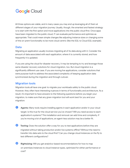All three options are viable, and in many cases you may end up leveraging all of them at different stages of your migration journey. Usually, though, the smartest and fastest strategy is to start with the first option and move applications into the public cloud first. Once apps have been migrated to the public cloud, IT can evaluate performance and optimize as appropriate. That could mean simple changes like adjusting instance sizes or changing some of the on-prem functionality to be more cloud centric (like the SQL to Cloud SQL example).

#### **Data**

Migrating an application usually involves migrating all of its data along with it. Consider the amount of data associated with each application, where it is currently stored, and how frequently it is updated.

If you are using the cloud for disaster recovery, it may be tempting to try and leverage those same disaster recovery solutions for cloud migration, too. But cloud migration is a significantly different use case. If you are moving live applications, consider solutions that were purpose-built to address the associated complexity of keeping application data synchronized during the migration and through cutover.

#### **Migration tools**

Migration tools all have one goal: to migrate your workloads safely to the public cloud. However, they often have interesting nuances in terms of functionality and architecture. As a result, it's important to have answers to the following questions before you begin your migration, to make sure that any given migration tool will work best for you and your migration:

- **➊ Agents:** Many tools require installing agents in each application and/or in your cloud target. Is this true for the cloud service you've chosen? Will you need access to each application's systems? This installation and removal can add time and complexity. If you're moving a lot of applications, an agent-less solution may be a better fit.
- **8 Testing:** Does the solution offer a way for you to test applications before they are migrated without taking production and/or live systems offline? Without the need to transfer into data sets to the cloud first? Can you change cloud instances on the fly to test different configurations?
- **8 Rightsizing:** Will you get analytics-based recommendations for how to map on-premises instances to cloud instance types, optimized for either performance or cost?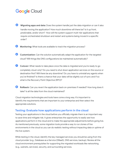- **➍ Migrating apps and data:** Does the system handle just the data migration or can it also handle moving the application? How much downtime will there be? Is it up front, predictable, and/or short? How will the system support multi-tier applications that require orchestrated shutdown and restart and systems being moved in a specific order?
- *S* **Monitoring:** What tools are available to track the migration process?
- *G* **Customization:** Can the solution automatically adapt the application for the targeted cloud? Will things like DNS configurations be maintained automatically?
- *v* **Cutover:** What needs to take place once the data is migrated and you're ready to go completely cloud-only? Do you need to shut down application services on the source or destination first? Will there be any downtime? Do you have to uninstall any agents when you've finished? Is there a chance that your data will be slightly out of sync and if so what is the Recovery Point Objective (RPO)?
- **<sup>8</sup> Rollback:** Can you revert the application back on-premises if needed? How long does it take? Is all the data from the cloud maintained?

Cloud migration technologies and tools have come a long way. It's important to identify the requirements that are important to your enterprise and then select the appropriate solutions.

#### **Testing: Evaluate how applications perform in the cloud**

Testing your applications in the cloud before you officially migrate them is an important way to save time and mitigate risk. It gives enterprises the opportunity to easily see how applications perform in the cloud and to make the appropriate adjustments before going live. As mentioned previously, some migration tools provide a way to run clones of live environments in the cloud so you can do realistic testing without impacting data or uptime of the live system.

While testing in the cloud, identify the key managed services you should be using from the cloud provider (e.g., Database as a Service (DBaaS), DNS services, backup). Review all the cloud environment prerequisites for supporting the migrated workloads like networking (e.g., subnets, services), security, and surrounding services.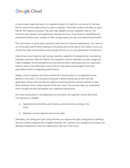In some cases, especially early in a migration project, it's useful to run a proof of concept test for some of the applications you plan to migrate. These pilot projects will help you get a feel for the migration process. They also help validate two key migration metrics: The resources and capacity your application requires and your cloud vendor's capabilities and potential limitations (e.g., number of VMs, storage types and size, and network bandwidth).

This information is particularly important with memory-intensive applications. You need to run the proper performance testing by simulating real-world load on the system so you can choose the right-sized instance with enough memory to run your application in production.

Data-driven cloud instance right-sizing is another capability to evaluate when considering migration solutions. With this feature, the migration solution evaluates on-prem usage and makes intelligent recommendations for both performance-optimized and cost-optimized instance sizes in the destination cloud. This can help keep cloud budgets in line with expectations without degrading performance.

Ideally, a cloud migration tool will provide built-in functionality to run application tests directly in the cloud. This is powerful because it allows enterprises to see how that application will run with real data but without impacting the live system's uptime or data. When testing is done, simply dispose of the test clone. This can also help you understand which storage services will replace your traditional repositories.

The more testing done in the beginning, the smoother the migration will be. We advise running tests to validate:

- Application functionality, performance, and costs when running in the cloud
- Migration solution features and functionality

Ultimately, this testing and right-sizing will help you capture the right configurations (settings, security controls, replacement of legacy firewalls, etc.), perfect your migration processes, and develop a baseline for what your deployment will cost in the cloud.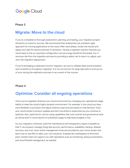#### <span id="page-7-0"></span>**Phase 3**

#### **Migrate: Move to the cloud**

If you've completed a thorough assessment, planning, and testing, your migration project should be on track for success. We recommend that enterprises use a phased, agile approach for moving applications to the cloud. After each phase, review the results and adjust your plan for lessons learned, if necessary. Having a migration solution that lets you revert back to the on-premises configuration can be a huge benefit at this phase, too. It removes risk from the migration process by providing a safety net to return to, adjust, and retry the migration deployment.

If you're leveraging a replication tool for migration, be sure to validate data synchronization and consistency throughout migration. It is not uncommon for large data sets to end up out of sync during the replication process or as a result of the cutover.

#### <span id="page-7-1"></span>**Phase 4**

### **Optimize: Consider all ongoing operations**

Once you've migrated, finetune your cloud environment by changing your operational usage habits to meet the cloud's highly dynamic environment. For example, in the cloud you have more flexibility to provision and adjust instance type and size based on real demand. Track your cloud vendor's product updates and don't be afraid to experiment as you continue to optimize. Also, optimize for cost by using capabilities like cost controls and governance tools as well as built-in cloud reports on predicted usage to help keep budgets in line.

As your migration continues, build the maintenance and transparency layers in parallel so that IT can properly manage things like security, performance, availability, backup, disaster recovery, and cost. Learn which management tools are provided by your cloud vendor and learn how to use APIs to tailor your own solutions. Evaluate the marketplace to find third party vendors that can support you with operations such as monitoring, backup automation, and cloud firewall management, as needed.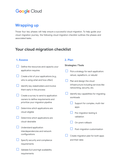### <span id="page-8-0"></span>**Wrapping up**

Those four key phases will help ensure a successful cloud migration. To help guide your cloud migration journey, the following cloud migration checklist outlines the phases and associated tasks.

#### **Your cloud migration checklist**

#### **1. Assess**

- Define the resources and capacity your application requires
- $\Box$  Create a list of your applications (e.g., who is using what and how often)
- $\Box$  Identify key stakeholders and involve them early in the process
- Create a survey to send to application owners to define requirements and prioritize your migration pipeline
- $\Box$  Determine which applications are cloud-eligible
- Determine which applications are cloud-desirable
- Understand application interdependencies and network configurations
- Specify security and compliance requirements
- Validate SLA and high availability requirements

#### **2. Plan**

### **Strategies / Tools** Pick a strategy for each application:

Plan and design the cloud infrastructure including services like networking, security, etc.

rehost, replatform, or rebuild

- Identify key capabilities for migrating workloads
	- Support for complex, multi-tier apps
	- Pre-migration testing & validation
	- On-prem rollback
	- Post-migration customization
- Create migration plan for both apps and their data